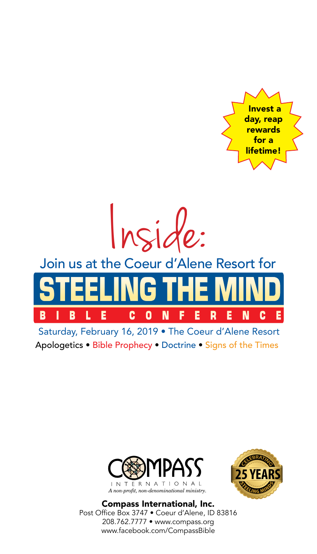



Apologetics • Bible Prophecy • Doctrine • Signs of the Times Saturday, February 16, 2019 • The Coeur d'Alene Resort



*A non-profit, non-denominational ministry.*



Compass International, Inc. Post Office Box 3747 • Coeur d'Alene, ID 83816 208.762.7777 • www.compass.org www.facebook.com/CompassBible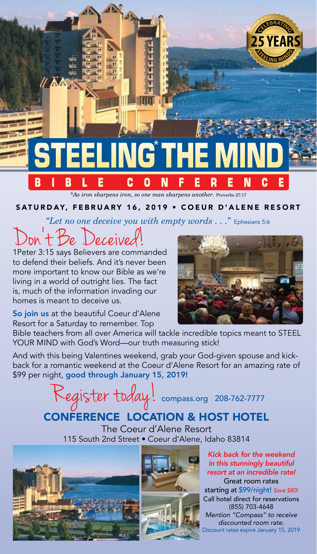

### SATURDAY, FEBRUARY 16, 2019 • COEUR D'ALENE RESORT

*"Let no one deceive you with empty words . . ."* Ephesians 5:6

Don<sup>1</sup> + Be Deceived!<br>1Peter 3:15 says Believers are commanded

to defend their beliefs. And it's never been more important to know our Bible as we're living in a world of outright lies. The fact is, much of the information invading our homes is meant to deceive us.

So join us at the beautiful Coeur d'Alene Resort for a Saturday to remember. Top



Bible teachers from all over America will tackle incredible topics meant to STEEL YOUR MIND with God's Word—our truth measuring stick!

And with this being Valentines weekend, grab your God-given spouse and kickback for a romantic weekend at the Coeur d'Alene Resort for an amazing rate of \$99 per night, good through January 15, 2019!

Register today! compass.org 208-762-7777

# CONFERENCE LOCATION & HOST HOTEL

The Coeur d'Alene Resort 115 South 2nd Street • Coeur d'Alene, Idaho 83814





*Kick back for the weekend in this stunningly beautiful resort at an incredible rate!*  Great room rates starting at \$99/night! *Save \$80!* Call hotel direct for reservations (855) 703-4648 *Mention "Compass" to receive discounted room rate.*  Discount rates expire January 15, 2019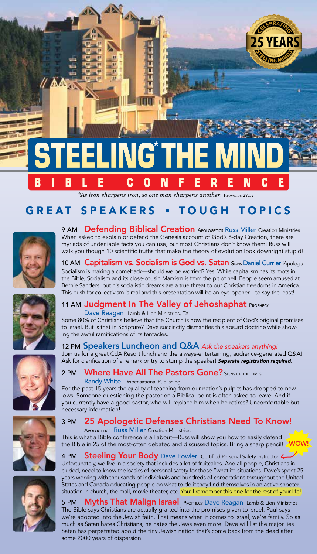

*\*As iron sharpens iron, so one man sharpens another.* Proverbs 27:17

# GREAT SPEAKERS • TOUGH TOPICS



**9 AM** Defending Biblical Creation APOLOGETICS Russ Miller Creation Ministries When asked to explain or defend the Genesis account of God's 6-day Creation, there are myriads of undeniable facts you can use, but most Christians don't know them! Russ will walk you though 10 scientific truths that make the theory of evolution look downright stupid!

### 10 AM Capitalism vs. Socialism is God vs. Satan Signs Daniel Currier iApologia

Socialism is making a comeback—should we be worried? Yes! While capitalism has its roots in the Bible, Socialism and its close-cousin Marxism is from the pit of hell. People seem amused at Bernie Sanders, but his socialistic dreams are a true threat to our Christian freedoms in America. This push for collectivism is real and this presentation will be an eye-opener—to say the least!



#### 11 AM **Judgment In The Valley of Jehoshaphat** Prophecy Dave Reagan Lamb & Lion Ministries, TX

Some 80% of Christians believe that the Church is now the recipient of God's original promises to Israel. But is that in Scripture? Dave succinctly dismantles this absurd doctrine while showing the awful ramifications of its tentacles.



#### 12 PM Speakers Luncheon and Q&A *Ask the speakers anything!* Join us for a great CdA Resort lunch and the always-entertaining, audience-generated Q&A! Ask for clarification of a remark or try to stump the speaker! *Separate registration required.*

## 2 PM **Where Have All The Pastors Gone?** Signs of the Times

Randy White Dispensational Publishing

For the past 15 years the quality of teaching from our nation's pulpits has dropped to new lows. Someone questioning the pastor on a Biblical point is often asked to leave. And if you currently have a good pastor, who will replace him when he retires? Uncomfortable but necessary information!

#### 3 PM 25 Apologetic Defenses Christians Need To Know! APOLOGETICS Russ Miller Creation Ministries

This is what a Bible conference is all about—Russ will show you how to easily defend the Bible in 25 of the most-often debated and discussed topics. Bring a sharp pencil!

### 4 PM Steeling Your Body Dave Fowler Certified Personal Safety Instructor  $\leftarrow$

Unfortunately, we live in a society that includes a lot of fruitcakes. And all people, Christians included, need to know the basics of personal safety for those "what if" situations. Dave's spent 25 years working with thousands of individuals and hundreds of corporations throughout the United States and Canada educating people on what to do if they find themselves in an active shooter situation in church, the mall, movie theater, etc. You'll remember this one for the rest of your life!

WOW!

5 PM Myths That Malign Israel Prophecy Dave Reagan Lamb & Lion Ministries The Bible says Christians are actually grafted into the promises given to Israel. Paul says we're adopted into the Jewish faith. That means when it comes to Israel, we're family. So as much as Satan hates Christians, he hates the Jews even more. Dave will list the major lies Satan has perpetrated about the tiny Jewish nation that's come back from the dead after some 2000 years of dispersion.